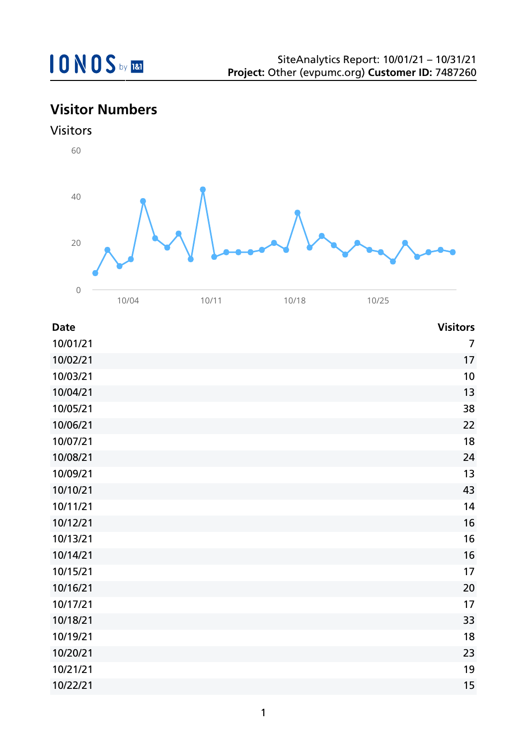## **Visitor Numbers**



| <b>Date</b> | <b>Visitors</b> |
|-------------|-----------------|
| 10/01/21    | $\overline{7}$  |
| 10/02/21    | 17              |
| 10/03/21    | 10              |
| 10/04/21    | 13              |
| 10/05/21    | 38              |
| 10/06/21    | 22              |
| 10/07/21    | 18              |
| 10/08/21    | 24              |
| 10/09/21    | 13              |
| 10/10/21    | 43              |
| 10/11/21    | 14              |
| 10/12/21    | 16              |
| 10/13/21    | 16              |
| 10/14/21    | 16              |
| 10/15/21    | 17              |
| 10/16/21    | 20              |
| 10/17/21    | 17              |
| 10/18/21    | 33              |
| 10/19/21    | 18              |
| 10/20/21    | 23              |
| 10/21/21    | 19              |
| 10/22/21    | 15              |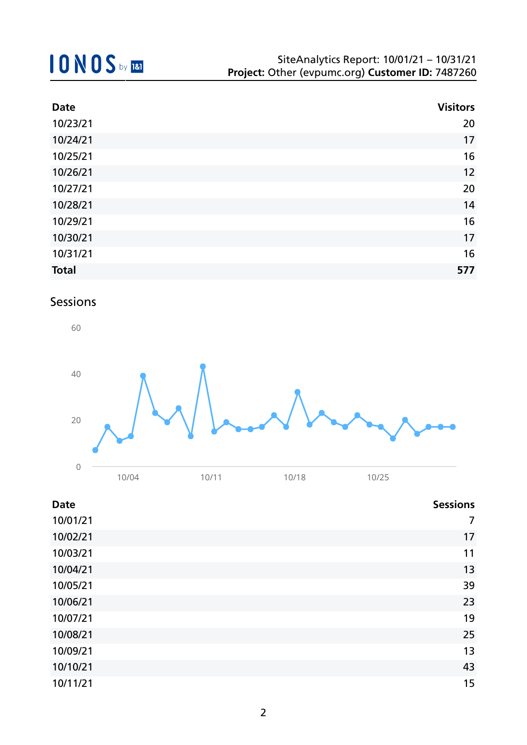# **10NOS** by REI

| <b>Date</b>  | <b>Visitors</b> |
|--------------|-----------------|
| 10/23/21     | 20              |
| 10/24/21     | 17              |
| 10/25/21     | 16              |
| 10/26/21     | 12              |
| 10/27/21     | 20              |
| 10/28/21     | 14              |
| 10/29/21     | 16              |
| 10/30/21     | 17              |
| 10/31/21     | 16              |
| <b>Total</b> | 577             |

### Sessions



| <b>Date</b> | <b>Sessions</b> |
|-------------|-----------------|
| 10/01/21    | 7               |
| 10/02/21    | 17              |
| 10/03/21    | 11              |
| 10/04/21    | 13              |
| 10/05/21    | 39              |
| 10/06/21    | 23              |
| 10/07/21    | 19              |
| 10/08/21    | 25              |
| 10/09/21    | 13              |
| 10/10/21    | 43              |
| 10/11/21    | 15              |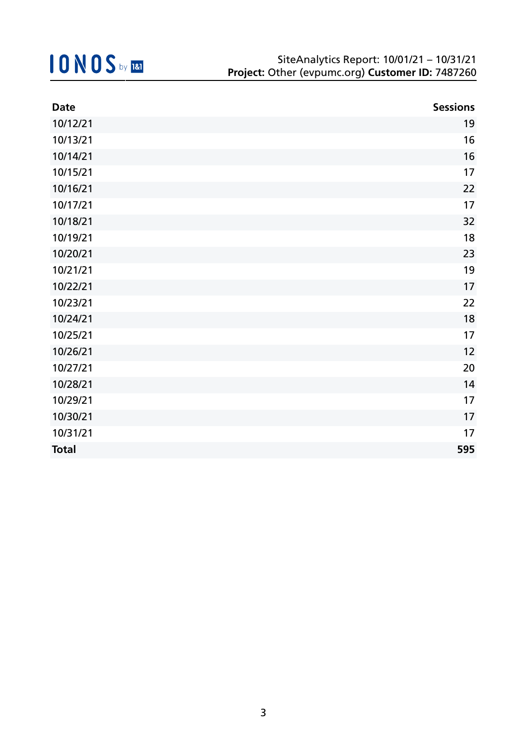| <b>Date</b>  | <b>Sessions</b> |
|--------------|-----------------|
| 10/12/21     | 19              |
| 10/13/21     | 16              |
| 10/14/21     | 16              |
| 10/15/21     | 17              |
| 10/16/21     | 22              |
| 10/17/21     | 17              |
| 10/18/21     | 32              |
| 10/19/21     | 18              |
| 10/20/21     | 23              |
| 10/21/21     | 19              |
| 10/22/21     | 17              |
| 10/23/21     | 22              |
| 10/24/21     | 18              |
| 10/25/21     | 17              |
| 10/26/21     | 12              |
| 10/27/21     | 20              |
| 10/28/21     | 14              |
| 10/29/21     | 17              |
| 10/30/21     | 17              |
| 10/31/21     | 17              |
| <b>Total</b> | 595             |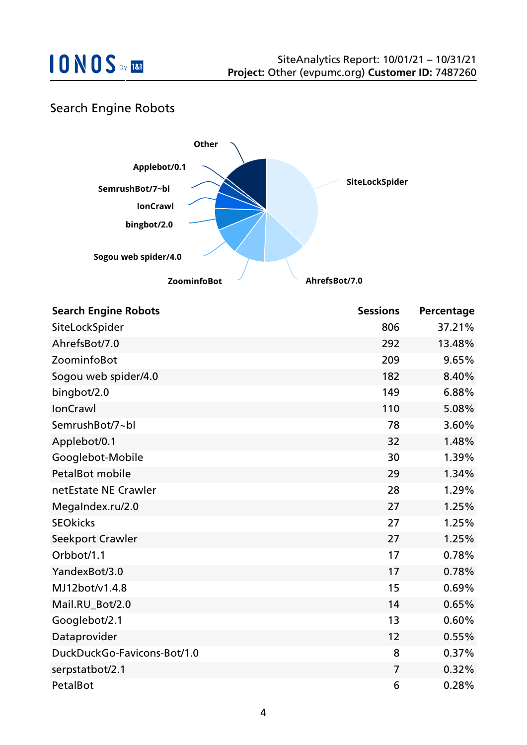

### Search Engine Robots



| <b>Search Engine Robots</b> | <b>Sessions</b> | Percentage |
|-----------------------------|-----------------|------------|
| SiteLockSpider              | 806             | 37.21%     |
| AhrefsBot/7.0               | 292             | 13.48%     |
| ZoominfoBot                 | 209             | 9.65%      |
| Sogou web spider/4.0        | 182             | 8.40%      |
| bingbot/2.0                 | 149             | 6.88%      |
| <b>IonCrawl</b>             | 110             | 5.08%      |
| SemrushBot/7~bl             | 78              | 3.60%      |
| Applebot/0.1                | 32              | 1.48%      |
| Googlebot-Mobile            | 30              | 1.39%      |
| <b>PetalBot mobile</b>      | 29              | 1.34%      |
| netEstate NE Crawler        | 28              | 1.29%      |
| MegaIndex.ru/2.0            | 27              | 1.25%      |
| <b>SEOkicks</b>             | 27              | 1.25%      |
| Seekport Crawler            | 27              | 1.25%      |
| Orbbot/1.1                  | 17              | 0.78%      |
| YandexBot/3.0               | 17              | 0.78%      |
| MJ12bot/v1.4.8              | 15              | 0.69%      |
| Mail.RU_Bot/2.0             | 14              | 0.65%      |
| Googlebot/2.1               | 13              | 0.60%      |
| Dataprovider                | 12              | 0.55%      |
| DuckDuckGo-Favicons-Bot/1.0 | 8               | 0.37%      |
| serpstatbot/2.1             | 7               | 0.32%      |
| PetalBot                    | 6               | 0.28%      |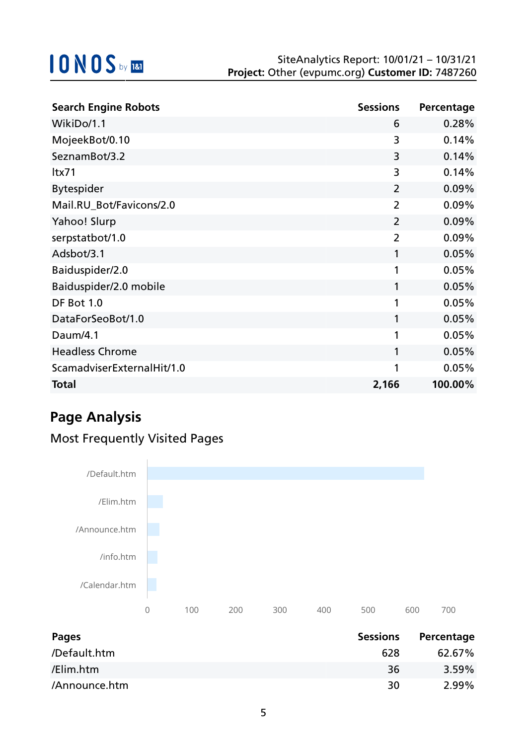| <b>Search Engine Robots</b> | <b>Sessions</b> | Percentage |
|-----------------------------|-----------------|------------|
| WikiDo/1.1                  | 6               | 0.28%      |
| MojeekBot/0.10              | 3               | 0.14%      |
| SeznamBot/3.2               | 3               | 0.14%      |
| ltx71                       | 3               | 0.14%      |
| <b>Bytespider</b>           | $\overline{2}$  | 0.09%      |
| Mail.RU_Bot/Favicons/2.0    | $\overline{2}$  | 0.09%      |
| Yahoo! Slurp                | $\overline{2}$  | 0.09%      |
| serpstatbot/1.0             | $\overline{2}$  | 0.09%      |
| Adsbot/3.1                  | 1               | 0.05%      |
| Baiduspider/2.0             | 1               | 0.05%      |
| Baiduspider/2.0 mobile      | 1               | 0.05%      |
| DF Bot 1.0                  | 1               | 0.05%      |
| DataForSeoBot/1.0           | 1               | 0.05%      |
| Daum/4.1                    | 1               | 0.05%      |
| <b>Headless Chrome</b>      | 1               | 0.05%      |
| ScamadviserExternalHit/1.0  | 1               | 0.05%      |
| <b>Total</b>                | 2,166           | 100.00%    |

## **Page Analysis**

## Most Frequently Visited Pages



| Pages         | <b>Sessions</b> | Percentage |
|---------------|-----------------|------------|
| /Default.htm  | 628             | 62.67%     |
| /Elim.htm     | 36              | 3.59%      |
| /Announce.htm | 30              | $2.99\%$   |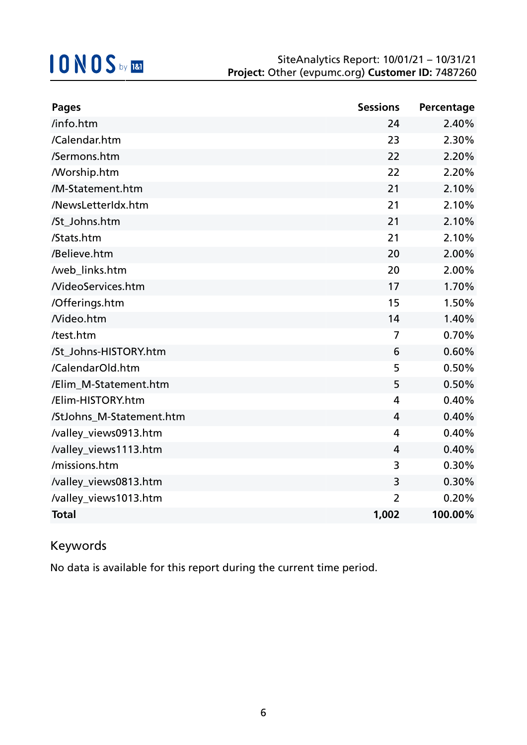| <b>Pages</b>             | <b>Sessions</b> | Percentage |
|--------------------------|-----------------|------------|
| /info.htm                | 24              | 2.40%      |
| /Calendar.htm            | 23              | 2.30%      |
| /Sermons.htm             | 22              | 2.20%      |
| <b>Morship.htm</b>       | 22              | 2.20%      |
| /M-Statement.htm         | 21              | 2.10%      |
| /NewsLetterIdx.htm       | 21              | 2.10%      |
| /St_Johns.htm            | 21              | 2.10%      |
| /Stats.htm               | 21              | 2.10%      |
| /Believe.htm             | 20              | 2.00%      |
| /web_links.htm           | 20              | 2.00%      |
| <b>NideoServices.htm</b> | 17              | 1.70%      |
| /Offerings.htm           | 15              | 1.50%      |
| Nideo.htm                | 14              | 1.40%      |
| /test.htm                | $\overline{7}$  | 0.70%      |
| /St_Johns-HISTORY.htm    | 6               | 0.60%      |
| /CalendarOld.htm         | 5               | 0.50%      |
| /Elim M-Statement.htm    | 5               | 0.50%      |
| /Elim-HISTORY.htm        | 4               | 0.40%      |
| /StJohns_M-Statement.htm | 4               | 0.40%      |
| /valley_views0913.htm    | 4               | 0.40%      |
| /valley_views1113.htm    | 4               | 0.40%      |
| /missions.htm            | 3               | 0.30%      |
| /valley_views0813.htm    | 3               | 0.30%      |
| /valley_views1013.htm    | $\overline{2}$  | 0.20%      |
| <b>Total</b>             | 1,002           | 100.00%    |

### Keywords

No data is available for this report during the current time period.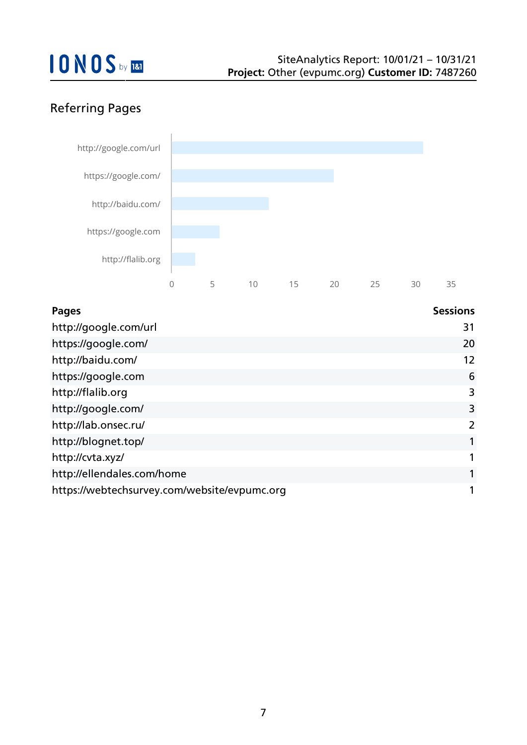## Referring Pages



| <b>Pages</b>                                 | <b>Sessions</b> |
|----------------------------------------------|-----------------|
| http://google.com/url                        | 31              |
| https://google.com/                          | 20              |
| http://baidu.com/                            | 12              |
| https://google.com                           | 6               |
| http://flalib.org                            | 3               |
| http://google.com/                           | 3               |
| http://lab.onsec.ru/                         | 2               |
| http://blognet.top/                          |                 |
| http://cvta.xyz/                             |                 |
| http://ellendales.com/home                   |                 |
| https://webtechsurvey.com/website/evpumc.org |                 |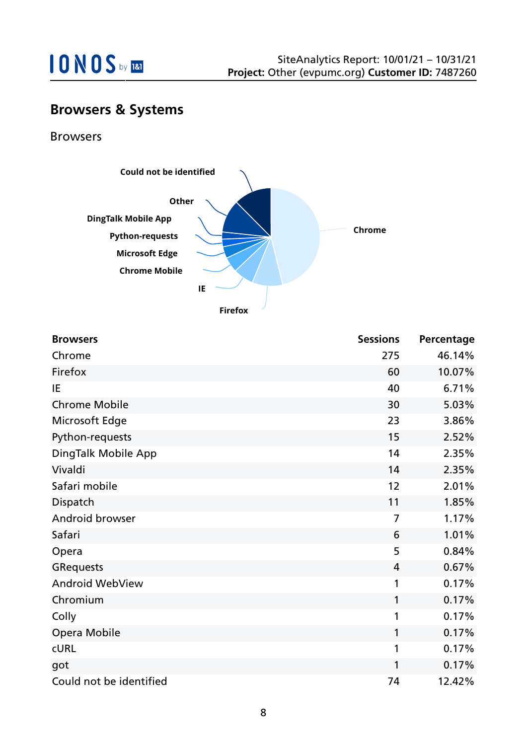

## **Browsers & Systems**

Browsers



**Firefox**

| <b>Browsers</b>         | <b>Sessions</b> | Percentage |
|-------------------------|-----------------|------------|
| Chrome                  | 275             | 46.14%     |
| Firefox                 | 60              | 10.07%     |
| IE                      | 40              | 6.71%      |
| <b>Chrome Mobile</b>    | 30              | 5.03%      |
| Microsoft Edge          | 23              | 3.86%      |
| Python-requests         | 15              | 2.52%      |
| DingTalk Mobile App     | 14              | 2.35%      |
| Vivaldi                 | 14              | 2.35%      |
| Safari mobile           | 12              | 2.01%      |
| Dispatch                | 11              | 1.85%      |
| Android browser         | $\overline{7}$  | 1.17%      |
| Safari                  | 6               | 1.01%      |
| Opera                   | 5               | 0.84%      |
| <b>GRequests</b>        | $\overline{4}$  | 0.67%      |
| Android WebView         | 1               | 0.17%      |
| Chromium                | 1               | 0.17%      |
| Colly                   | 1               | 0.17%      |
| Opera Mobile            | 1               | 0.17%      |
| <b>CURL</b>             | 1               | 0.17%      |
| got                     | 1               | 0.17%      |
| Could not be identified | 74              | 12.42%     |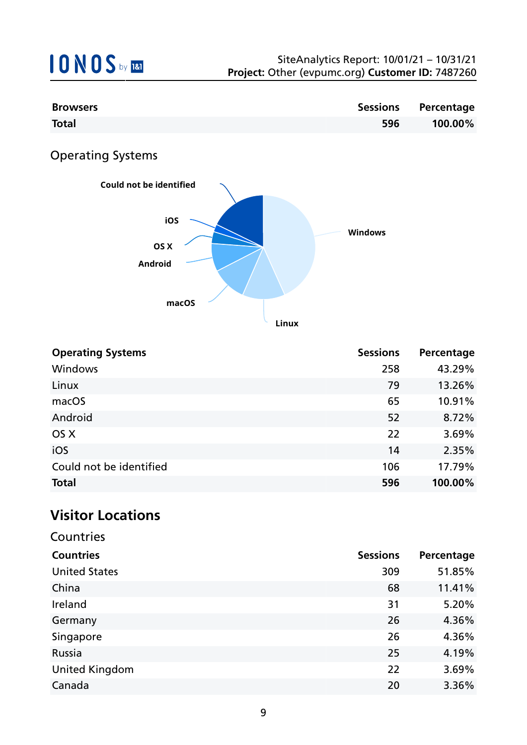| <b>Browsers</b> |     | Sessions Percentage |
|-----------------|-----|---------------------|
| <b>Total</b>    | 596 | 100.00%             |

## Operating Systems



**Linux**

| <b>Operating Systems</b> | <b>Sessions</b> | Percentage |
|--------------------------|-----------------|------------|
| Windows                  | 258             | 43.29%     |
| Linux                    | 79              | 13.26%     |
| macOS                    | 65              | 10.91%     |
| Android                  | 52              | 8.72%      |
| OS X                     | 22              | 3.69%      |
| iOS                      | 14              | 2.35%      |
| Could not be identified  | 106             | 17.79%     |
| <b>Total</b>             | 596             | 100.00%    |

## **Visitor Locations**

| Countries             |                 |            |
|-----------------------|-----------------|------------|
| <b>Countries</b>      | <b>Sessions</b> | Percentage |
| <b>United States</b>  | 309             | 51.85%     |
| China                 | 68              | 11.41%     |
| Ireland               | 31              | 5.20%      |
| Germany               | 26              | 4.36%      |
| Singapore             | 26              | 4.36%      |
| Russia                | 25              | 4.19%      |
| <b>United Kingdom</b> | 22              | 3.69%      |
| Canada                | 20              | 3.36%      |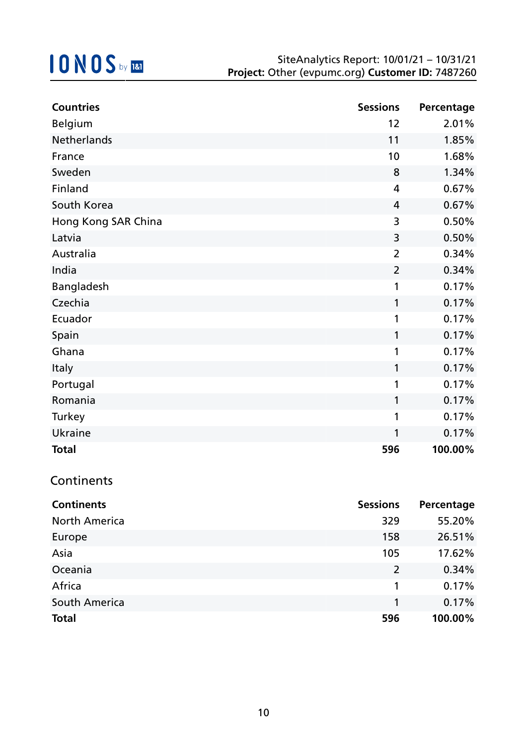| <b>Countries</b>    | <b>Sessions</b> | Percentage |
|---------------------|-----------------|------------|
| <b>Belgium</b>      | 12              | 2.01%      |
| Netherlands         | 11              | 1.85%      |
| France              | 10              | 1.68%      |
| Sweden              | 8               | 1.34%      |
| Finland             | 4               | 0.67%      |
| South Korea         | 4               | 0.67%      |
| Hong Kong SAR China | 3               | 0.50%      |
| Latvia              | 3               | 0.50%      |
| Australia           | $\overline{2}$  | 0.34%      |
| India               | $\overline{2}$  | 0.34%      |
| Bangladesh          | 1               | 0.17%      |
| Czechia             | 1               | 0.17%      |
| Ecuador             | 1               | 0.17%      |
| Spain               | 1               | 0.17%      |
| Ghana               | 1               | 0.17%      |
| Italy               | 1               | 0.17%      |
| Portugal            | 1               | 0.17%      |
| Romania             | 1               | 0.17%      |
| Turkey              | 1               | 0.17%      |
| <b>Ukraine</b>      | 1               | 0.17%      |
| <b>Total</b>        | 596             | 100.00%    |

### **Continents**

| <b>Continents</b>    | <b>Sessions</b> | Percentage |
|----------------------|-----------------|------------|
| <b>North America</b> | 329             | 55.20%     |
| Europe               | 158             | 26.51%     |
| Asia                 | 105             | 17.62%     |
| Oceania              | $\overline{2}$  | 0.34%      |
| Africa               | 1               | 0.17%      |
| South America        | 1               | 0.17%      |
| <b>Total</b>         | 596             | 100.00%    |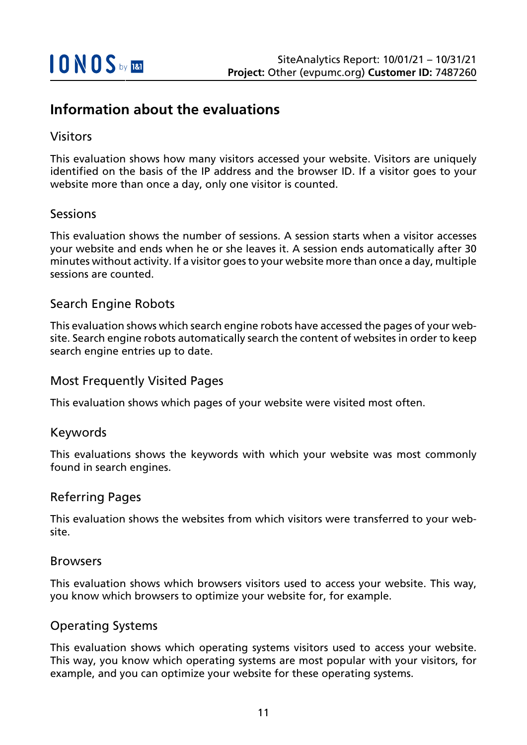## **Information about the evaluations**

#### Visitors

This evaluation shows how many visitors accessed your website. Visitors are uniquely identified on the basis of the IP address and the browser ID. If a visitor goes to your website more than once a day, only one visitor is counted.

#### Sessions

This evaluation shows the number of sessions. A session starts when a visitor accesses your website and ends when he or she leaves it. A session ends automatically after 30 minutes without activity. If a visitor goes to your website more than once a day, multiple sessions are counted.

#### Search Engine Robots

This evaluation shows which search engine robots have accessed the pages of your website. Search engine robots automatically search the content of websites in order to keep search engine entries up to date.

#### Most Frequently Visited Pages

This evaluation shows which pages of your website were visited most often.

#### Keywords

This evaluations shows the keywords with which your website was most commonly found in search engines.

#### Referring Pages

This evaluation shows the websites from which visitors were transferred to your website.

#### Browsers

This evaluation shows which browsers visitors used to access your website. This way, you know which browsers to optimize your website for, for example.

#### Operating Systems

This evaluation shows which operating systems visitors used to access your website. This way, you know which operating systems are most popular with your visitors, for example, and you can optimize your website for these operating systems.